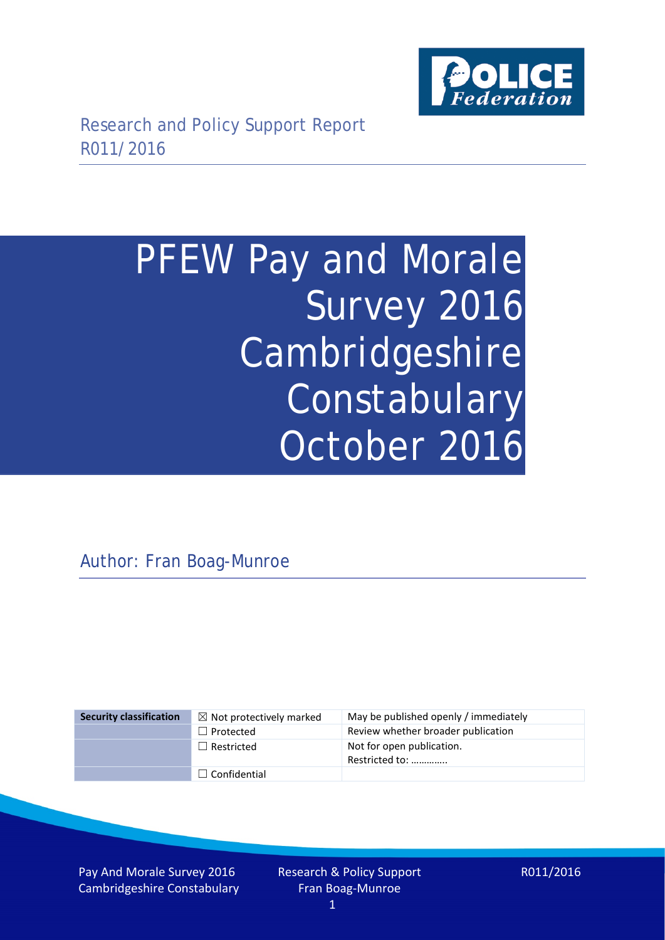

# PFEW Pay and Morale Survey 2016 Cambridgeshire Constabulary October 2016

Author: Fran Boag-Munroe

### **Security classification** ☒ Not protectively marked May be published openly / immediately □ Protected Review whether broader publication □ Restricted Not for open publication. Restricted to: ………….. ☐ Confidential

Pay And Morale Survey 2016 Cambridgeshire Constabulary Research & Policy Support Fran Boag-Munroe 1

R011/2016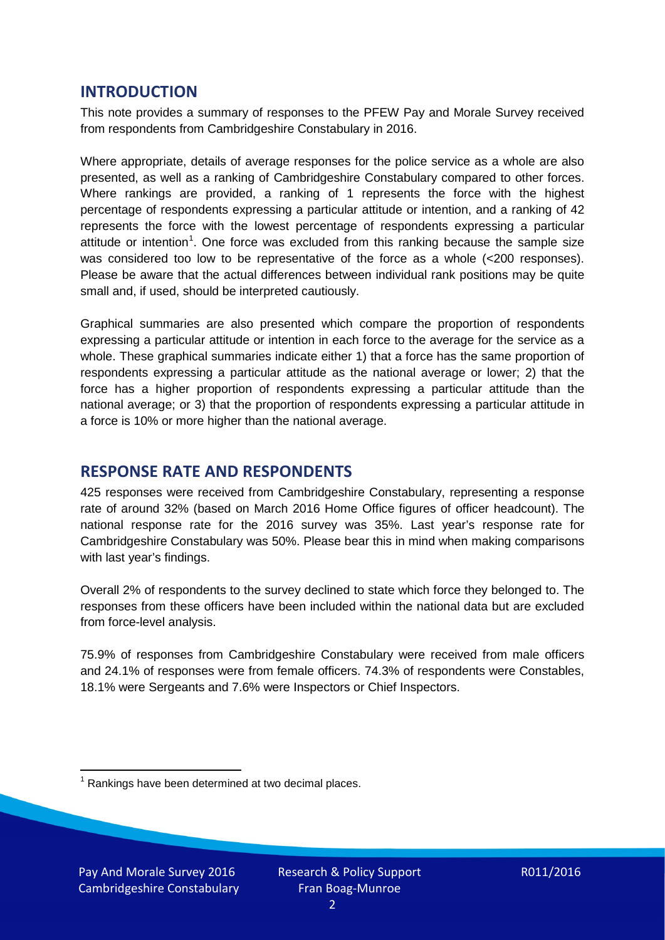## **INTRODUCTION**

This note provides a summary of responses to the PFEW Pay and Morale Survey received from respondents from Cambridgeshire Constabulary in 2016.

Where appropriate, details of average responses for the police service as a whole are also presented, as well as a ranking of Cambridgeshire Constabulary compared to other forces. Where rankings are provided, a ranking of 1 represents the force with the highest percentage of respondents expressing a particular attitude or intention, and a ranking of 42 represents the force with the lowest percentage of respondents expressing a particular attitude or intention<sup>[1](#page-1-0)</sup>. One force was excluded from this ranking because the sample size was considered too low to be representative of the force as a whole (<200 responses). Please be aware that the actual differences between individual rank positions may be quite small and, if used, should be interpreted cautiously.

Graphical summaries are also presented which compare the proportion of respondents expressing a particular attitude or intention in each force to the average for the service as a whole. These graphical summaries indicate either 1) that a force has the same proportion of respondents expressing a particular attitude as the national average or lower; 2) that the force has a higher proportion of respondents expressing a particular attitude than the national average; or 3) that the proportion of respondents expressing a particular attitude in a force is 10% or more higher than the national average.

# **RESPONSE RATE AND RESPONDENTS**

425 responses were received from Cambridgeshire Constabulary, representing a response rate of around 32% (based on March 2016 Home Office figures of officer headcount). The national response rate for the 2016 survey was 35%. Last year's response rate for Cambridgeshire Constabulary was 50%. Please bear this in mind when making comparisons with last year's findings.

Overall 2% of respondents to the survey declined to state which force they belonged to. The responses from these officers have been included within the national data but are excluded from force-level analysis.

75.9% of responses from Cambridgeshire Constabulary were received from male officers and 24.1% of responses were from female officers. 74.3% of respondents were Constables, 18.1% were Sergeants and 7.6% were Inspectors or Chief Inspectors.

<span id="page-1-0"></span> $1$  Rankings have been determined at two decimal places.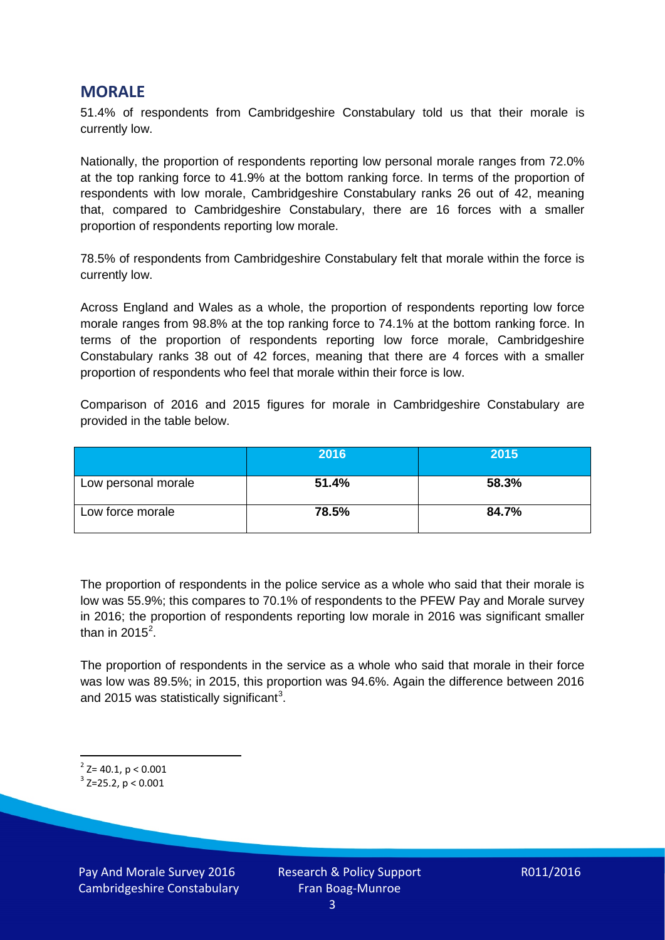## **MORALE**

51.4% of respondents from Cambridgeshire Constabulary told us that their morale is currently low.

Nationally, the proportion of respondents reporting low personal morale ranges from 72.0% at the top ranking force to 41.9% at the bottom ranking force. In terms of the proportion of respondents with low morale, Cambridgeshire Constabulary ranks 26 out of 42, meaning that, compared to Cambridgeshire Constabulary, there are 16 forces with a smaller proportion of respondents reporting low morale.

78.5% of respondents from Cambridgeshire Constabulary felt that morale within the force is currently low.

Across England and Wales as a whole, the proportion of respondents reporting low force morale ranges from 98.8% at the top ranking force to 74.1% at the bottom ranking force. In terms of the proportion of respondents reporting low force morale, Cambridgeshire Constabulary ranks 38 out of 42 forces, meaning that there are 4 forces with a smaller proportion of respondents who feel that morale within their force is low.

Comparison of 2016 and 2015 figures for morale in Cambridgeshire Constabulary are provided in the table below.

|                     | 2016  | 2015  |
|---------------------|-------|-------|
| Low personal morale | 51.4% | 58.3% |
| Low force morale    | 78.5% | 84.7% |

The proportion of respondents in the police service as a whole who said that their morale is low was 55.9%; this compares to 70.1% of respondents to the PFEW Pay and Morale survey in 2016; the proportion of respondents reporting low morale in 2016 was significant smaller than in [2](#page-2-0)015<sup>2</sup>.

The proportion of respondents in the service as a whole who said that morale in their force was low was 89.5%; in 2015, this proportion was 94.6%. Again the difference between 2016 and 2015 was statistically significant<sup>[3](#page-2-1)</sup>.

<span id="page-2-0"></span> $2$ <sup>2</sup> Z= 40.1, p < 0.001

<span id="page-2-1"></span> $3$  Z=25.2, p < 0.001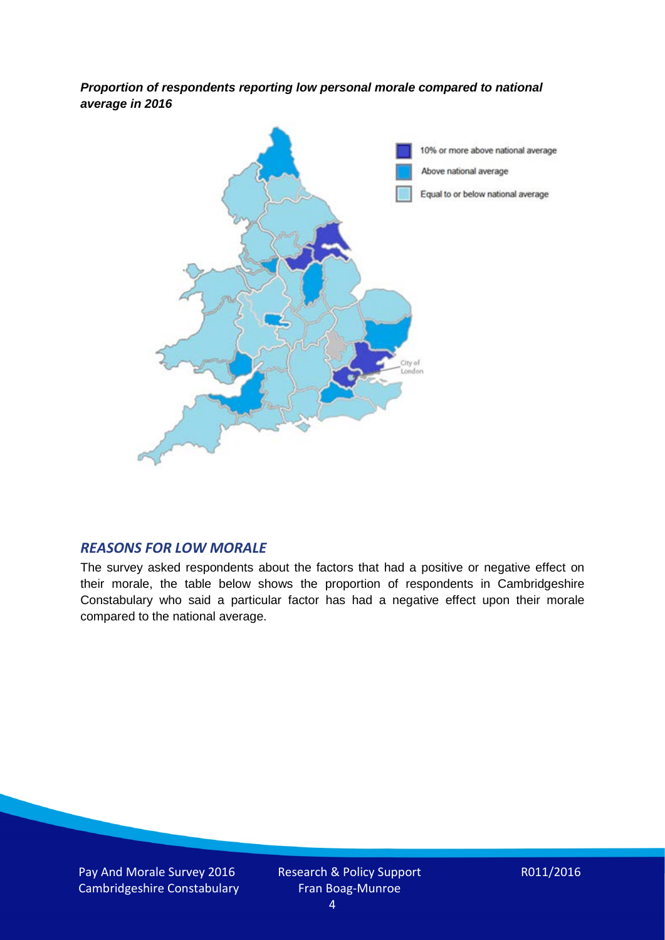*Proportion of respondents reporting low personal morale compared to national average in 2016*



#### *REASONS FOR LOW MORALE*

The survey asked respondents about the factors that had a positive or negative effect on their morale, the table below shows the proportion of respondents in Cambridgeshire Constabulary who said a particular factor has had a negative effect upon their morale compared to the national average.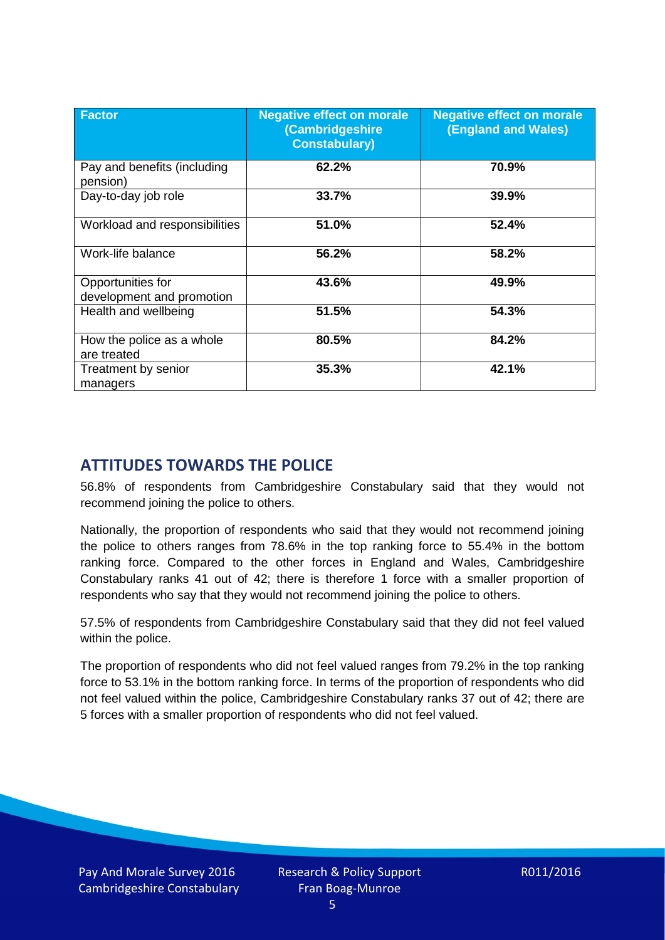| <b>Factor</b>                                  | <b>Negative effect on morale</b><br>(Cambridgeshire<br><b>Constabulary)</b> | <b>Negative effect on morale</b><br><b>(England and Wales)</b> |
|------------------------------------------------|-----------------------------------------------------------------------------|----------------------------------------------------------------|
| Pay and benefits (including<br>pension)        | 62.2%                                                                       | 70.9%                                                          |
| Day-to-day job role                            | 33.7%                                                                       | 39.9%                                                          |
| Workload and responsibilities                  | 51.0%                                                                       | 52.4%                                                          |
| Work-life balance                              | 56.2%                                                                       | 58.2%                                                          |
| Opportunities for<br>development and promotion | 43.6%                                                                       | 49.9%                                                          |
| Health and wellbeing                           | 51.5%                                                                       | 54.3%                                                          |
| How the police as a whole<br>are treated       | 80.5%                                                                       | 84.2%                                                          |
| Treatment by senior<br>managers                | 35.3%                                                                       | 42.1%                                                          |

# **ATTITUDES TOWARDS THE POLICE**

56.8% of respondents from Cambridgeshire Constabulary said that they would not recommend joining the police to others.

Nationally, the proportion of respondents who said that they would not recommend joining the police to others ranges from 78.6% in the top ranking force to 55.4% in the bottom ranking force. Compared to the other forces in England and Wales, Cambridgeshire Constabulary ranks 41 out of 42; there is therefore 1 force with a smaller proportion of respondents who say that they would not recommend joining the police to others.

57.5% of respondents from Cambridgeshire Constabulary said that they did not feel valued within the police.

The proportion of respondents who did not feel valued ranges from 79.2% in the top ranking force to 53.1% in the bottom ranking force. In terms of the proportion of respondents who did not feel valued within the police, Cambridgeshire Constabulary ranks 37 out of 42; there are 5 forces with a smaller proportion of respondents who did not feel valued.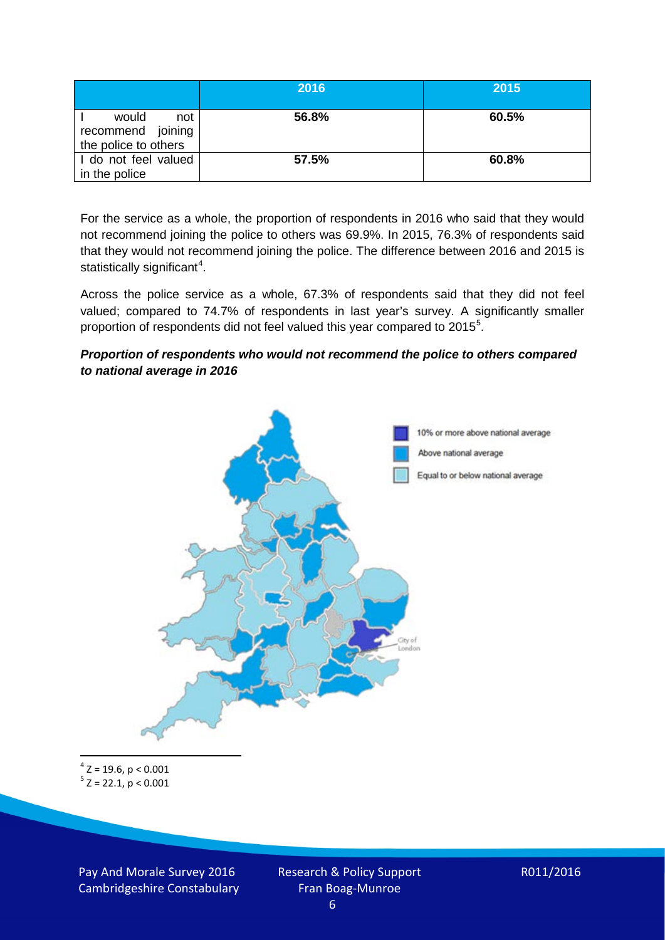|                                                           | 2016  | 2015  |
|-----------------------------------------------------------|-------|-------|
| would<br>not<br>recommend joining<br>the police to others | 56.8% | 60.5% |
| I do not feel valued<br>in the police                     | 57.5% | 60.8% |

For the service as a whole, the proportion of respondents in 2016 who said that they would not recommend joining the police to others was 69.9%. In 2015, 76.3% of respondents said that they would not recommend joining the police. The difference between 2016 and 2015 is statistically significant<sup>[4](#page-5-0)</sup>.

Across the police service as a whole, 67.3% of respondents said that they did not feel valued; compared to 74.7% of respondents in last year's survey. A significantly smaller proportion of respondents did not feel valued this year compared to 201[5](#page-5-1)<sup>5</sup>.

#### *Proportion of respondents who would not recommend the police to others compared to national average in 2016*



<span id="page-5-1"></span><span id="page-5-0"></span> $4$  Z = 19.6, p < 0.001  $5 z = 22.1, p < 0.001$ 

Pay And Morale Survey 2016 Cambridgeshire Constabulary Research & Policy Support Fran Boag-Munroe

$$
R011/2016
$$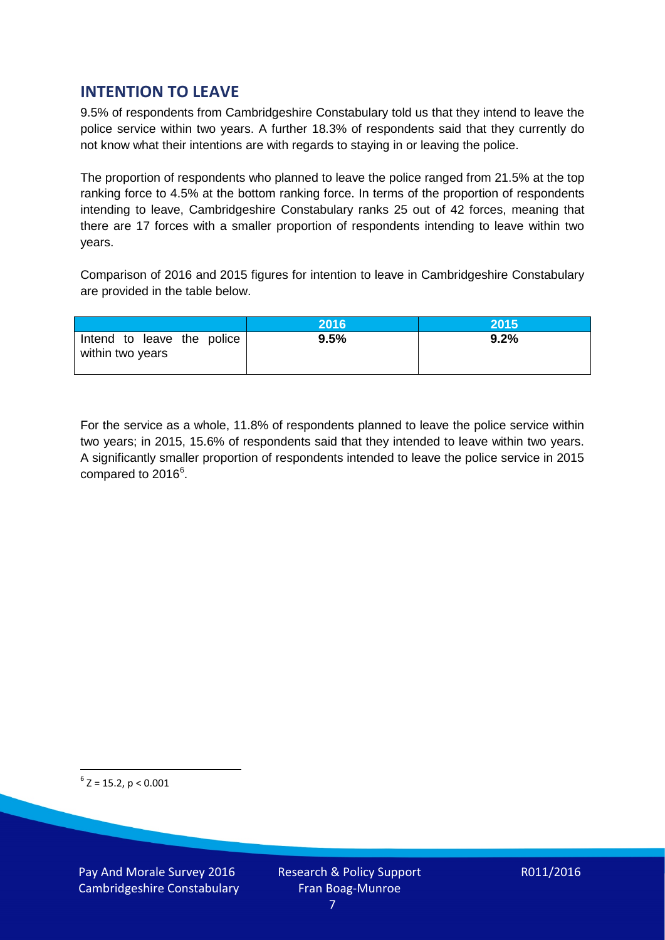# **INTENTION TO LEAVE**

9.5% of respondents from Cambridgeshire Constabulary told us that they intend to leave the police service within two years. A further 18.3% of respondents said that they currently do not know what their intentions are with regards to staying in or leaving the police.

The proportion of respondents who planned to leave the police ranged from 21.5% at the top ranking force to 4.5% at the bottom ranking force. In terms of the proportion of respondents intending to leave, Cambridgeshire Constabulary ranks 25 out of 42 forces, meaning that there are 17 forces with a smaller proportion of respondents intending to leave within two years.

Comparison of 2016 and 2015 figures for intention to leave in Cambridgeshire Constabulary are provided in the table below.

|                                                | 2016 | 2015    |
|------------------------------------------------|------|---------|
| Intend to leave the police<br>within two years | 9.5% | $9.2\%$ |

For the service as a whole, 11.8% of respondents planned to leave the police service within two years; in 2015, 15.6% of respondents said that they intended to leave within two years. A significantly smaller proportion of respondents intended to leave the police service in 2015 compared to 201[6](#page-6-0)<sup>6</sup>.

<span id="page-6-0"></span> $6$  Z = 15.2, p < 0.001

Pay And Morale Survey 2016 Cambridgeshire Constabulary Research & Policy Support Fran Boag-Munroe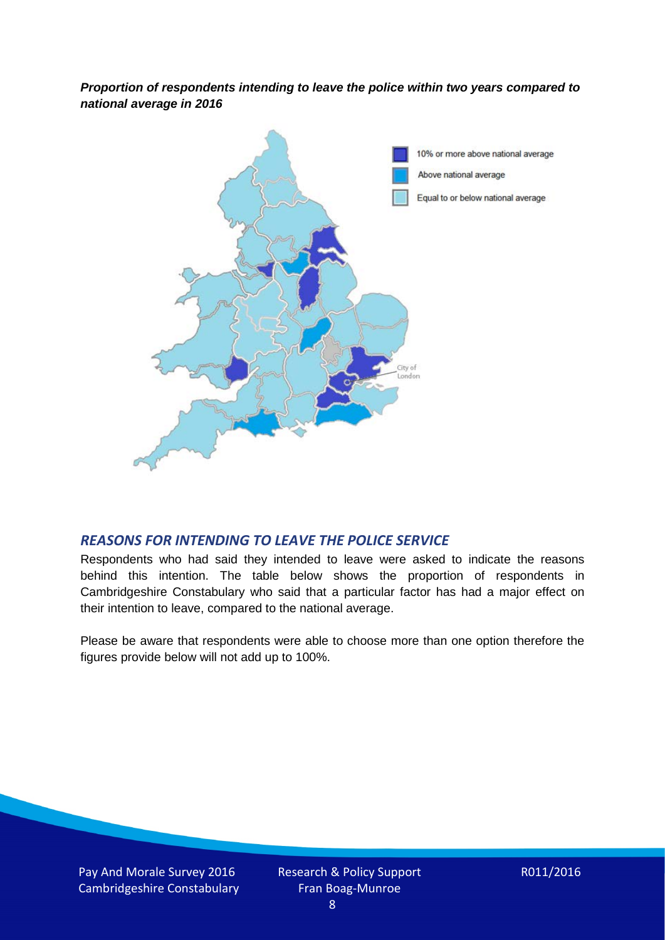*Proportion of respondents intending to leave the police within two years compared to national average in 2016*



## *REASONS FOR INTENDING TO LEAVE THE POLICE SERVICE*

Respondents who had said they intended to leave were asked to indicate the reasons behind this intention. The table below shows the proportion of respondents in Cambridgeshire Constabulary who said that a particular factor has had a major effect on their intention to leave, compared to the national average.

Please be aware that respondents were able to choose more than one option therefore the figures provide below will not add up to 100%.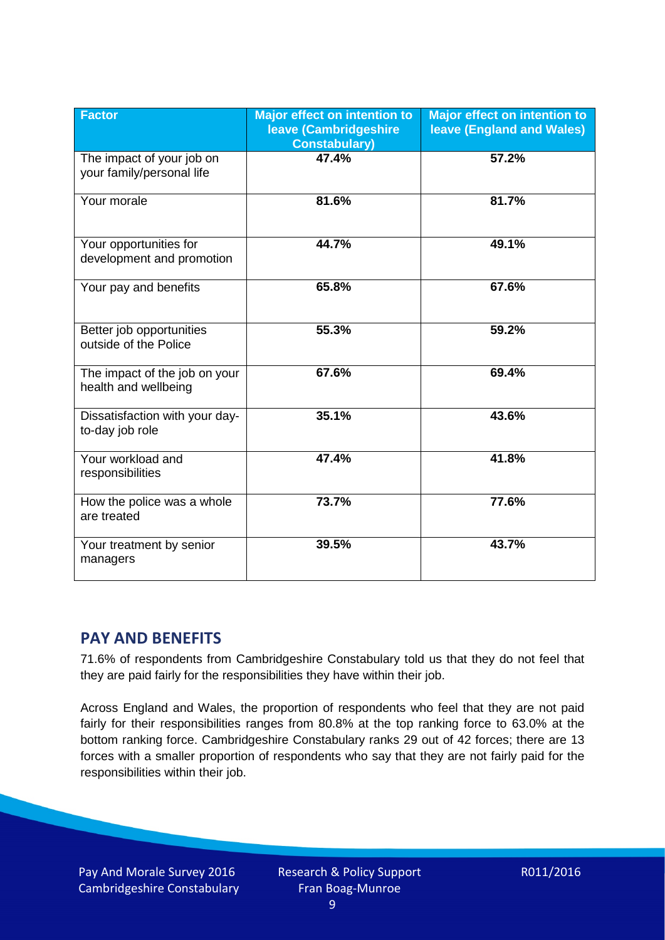| <b>Factor</b>                                          | <b>Major effect on intention to</b><br>leave (Cambridgeshire<br><b>Constabulary)</b> | <b>Major effect on intention to</b><br>leave (England and Wales) |
|--------------------------------------------------------|--------------------------------------------------------------------------------------|------------------------------------------------------------------|
| The impact of your job on<br>your family/personal life | 47.4%                                                                                | 57.2%                                                            |
| Your morale                                            | 81.6%                                                                                | 81.7%                                                            |
| Your opportunities for<br>development and promotion    | 44.7%                                                                                | 49.1%                                                            |
| Your pay and benefits                                  | 65.8%                                                                                | 67.6%                                                            |
| Better job opportunities<br>outside of the Police      | 55.3%                                                                                | 59.2%                                                            |
| The impact of the job on your<br>health and wellbeing  | 67.6%                                                                                | 69.4%                                                            |
| Dissatisfaction with your day-<br>to-day job role      | 35.1%                                                                                | 43.6%                                                            |
| Your workload and<br>responsibilities                  | 47.4%                                                                                | 41.8%                                                            |
| How the police was a whole<br>are treated              | 73.7%                                                                                | 77.6%                                                            |
| Your treatment by senior<br>managers                   | 39.5%                                                                                | 43.7%                                                            |

# **PAY AND BENEFITS**

71.6% of respondents from Cambridgeshire Constabulary told us that they do not feel that they are paid fairly for the responsibilities they have within their job.

Across England and Wales, the proportion of respondents who feel that they are not paid fairly for their responsibilities ranges from 80.8% at the top ranking force to 63.0% at the bottom ranking force. Cambridgeshire Constabulary ranks 29 out of 42 forces; there are 13 forces with a smaller proportion of respondents who say that they are not fairly paid for the responsibilities within their job.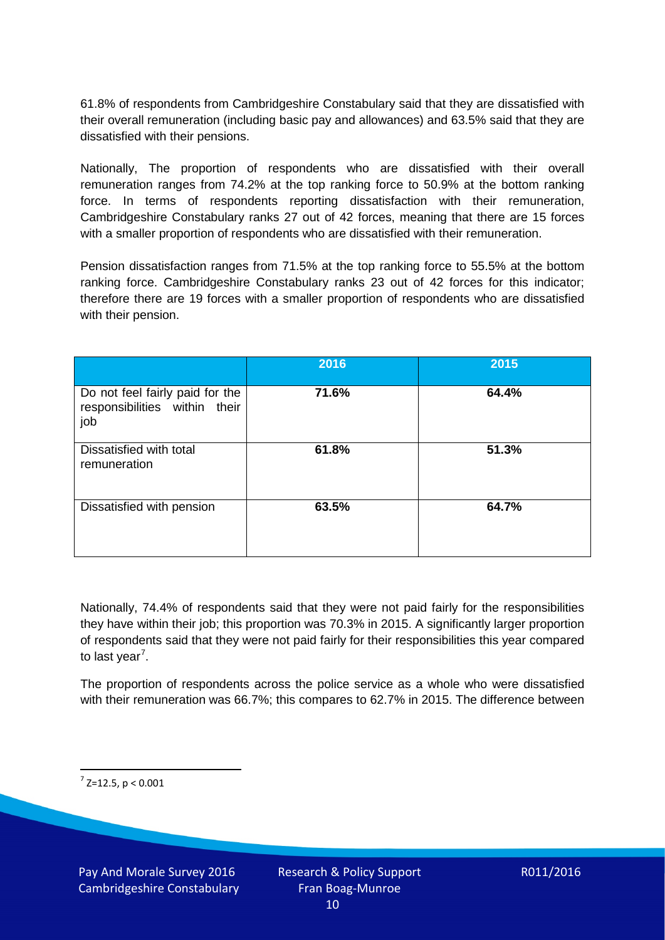61.8% of respondents from Cambridgeshire Constabulary said that they are dissatisfied with their overall remuneration (including basic pay and allowances) and 63.5% said that they are dissatisfied with their pensions.

Nationally, The proportion of respondents who are dissatisfied with their overall remuneration ranges from 74.2% at the top ranking force to 50.9% at the bottom ranking force. In terms of respondents reporting dissatisfaction with their remuneration, Cambridgeshire Constabulary ranks 27 out of 42 forces, meaning that there are 15 forces with a smaller proportion of respondents who are dissatisfied with their remuneration.

Pension dissatisfaction ranges from 71.5% at the top ranking force to 55.5% at the bottom ranking force. Cambridgeshire Constabulary ranks 23 out of 42 forces for this indicator; therefore there are 19 forces with a smaller proportion of respondents who are dissatisfied with their pension.

|                                                                         | 2016  | 2015  |
|-------------------------------------------------------------------------|-------|-------|
| Do not feel fairly paid for the<br>responsibilities within their<br>job | 71.6% | 64.4% |
| Dissatisfied with total<br>remuneration                                 | 61.8% | 51.3% |
| Dissatisfied with pension                                               | 63.5% | 64.7% |

Nationally, 74.4% of respondents said that they were not paid fairly for the responsibilities they have within their job; this proportion was 70.3% in 2015. A significantly larger proportion of respondents said that they were not paid fairly for their responsibilities this year compared to last year<sup>[7](#page-9-0)</sup>.

The proportion of respondents across the police service as a whole who were dissatisfied with their remuneration was 66.7%; this compares to 62.7% in 2015. The difference between

<span id="page-9-0"></span> $7$  Z=12.5, p < 0.001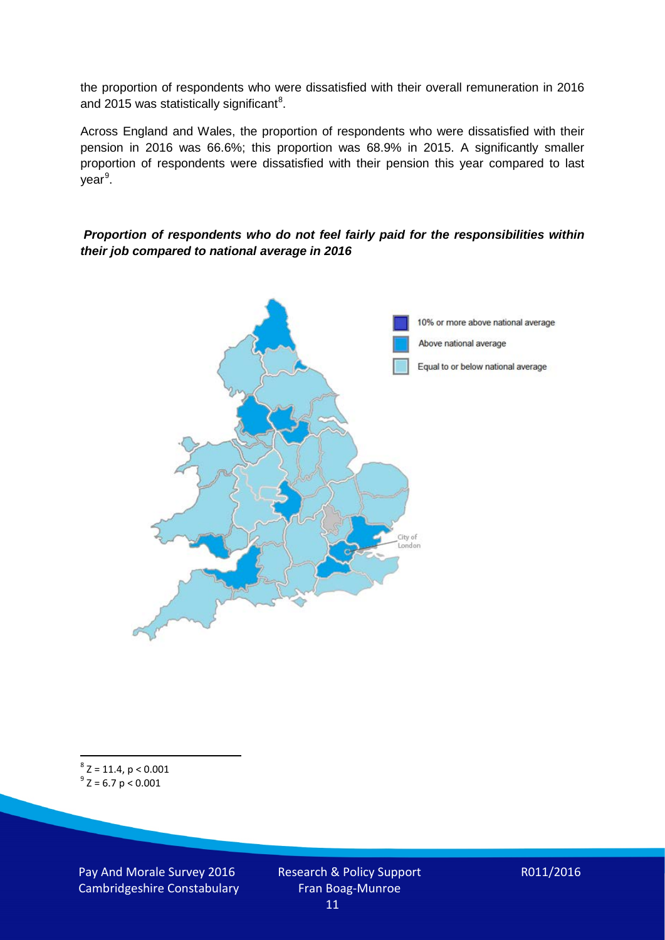the proportion of respondents who were dissatisfied with their overall remuneration in 2016 and 2015 was statistically significant<sup>[8](#page-10-0)</sup>.

Across England and Wales, the proportion of respondents who were dissatisfied with their pension in 2016 was 66.6%; this proportion was 68.9% in 2015. A significantly smaller proportion of respondents were dissatisfied with their pension this year compared to last year<sup>[9](#page-10-1)</sup>.

#### *Proportion of respondents who do not feel fairly paid for the responsibilities within their job compared to national average in 2016*



<span id="page-10-1"></span><span id="page-10-0"></span> $8$  Z = 11.4, p < 0.001  $^{9}$  Z = 6.7 p < 0.001

Pay And Morale Survey 2016 Cambridgeshire Constabulary Research & Policy Support Fran Boag-Munroe 11